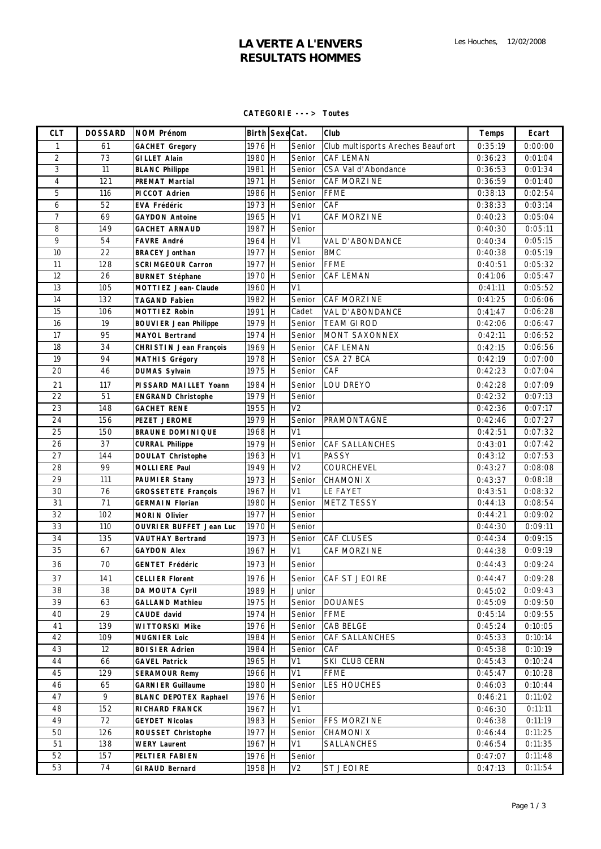# **LA VERTE A L'ENVERS RESULTATS HOMMES**

#### **CATEGORIE ---> Toutes**

| <b>CLT</b>     | <b>DOSSARD</b> | <b>NOM Prénom</b>              | Birth Sexe Cat. |           |                | Club                              | <b>Temps</b> | Ecart   |
|----------------|----------------|--------------------------------|-----------------|-----------|----------------|-----------------------------------|--------------|---------|
| 1              | 61             | <b>GACHET Gregory</b>          | 1976 H          |           | Senior         | Club multisports Areches Beaufort | 0:35:19      | 0:00:00 |
| $\overline{2}$ | 73             | <b>GILLET Alain</b>            | 1980 H          |           | Senior         | <b>CAF LEMAN</b>                  | 0:36:23      | 0:01:04 |
| 3              | 11             | <b>BLANC Philippe</b>          | 1981 H          |           | Senior         | CSA Val d'Abondance               | 0:36:53      | 0:01:34 |
| $\overline{4}$ | 121            | <b>PREMAT Martial</b>          | 1971            | <b>IH</b> | Senior         | CAF MORZINE                       | 0:36:59      | 0:01:40 |
| 5              | 116            | PICCOT Adrien                  | 1986 H          |           | Senior         | <b>FFME</b>                       | 0:38:13      | 0:02:54 |
| 6              | 52             | <b>EVA Frédéric</b>            | 1973 H          |           | Senior         | CAF                               | 0:38:33      | 0:03:14 |
| $\overline{7}$ | 69             | <b>GAYDON Antoine</b>          | 1965 H          |           | V <sub>1</sub> | CAF MORZINE                       | 0:40:23      | 0:05:04 |
| 8              | 149            | <b>GACHET ARNAUD</b>           | 1987 H          |           | Senior         |                                   | 0:40:30      | 0:05:11 |
| 9              | 54             | <b>FAVRE André</b>             | 1964 H          |           | V <sub>1</sub> | VAL D'ABONDANCE                   | 0:40:34      | 0:05:15 |
| 10             | 22             | <b>BRACEY Jonthan</b>          | 1977 H          |           | Senior         | <b>BMC</b>                        | 0:40:38      | 0:05:19 |
| 11             | 128            | <b>SCRIMGEOUR Carron</b>       | 1977 H          |           | Senior         | <b>FFME</b>                       | 0:40:51      | 0:05:32 |
| 12             | 26             | <b>BURNET Stéphane</b>         | 1970 H          |           | Senior         | <b>CAF LEMAN</b>                  | 0:41:06      | 0:05:47 |
| 13             | 105            | <b>MOTTIEZ Jean-Claude</b>     | 1960 H          |           | V <sub>1</sub> |                                   | 0:41:11      | 0:05:52 |
| 14             | 132            | <b>TAGAND Fabien</b>           | 1982 H          |           | Senior         | <b>CAF MORZINE</b>                | 0:41:25      | 0:06:06 |
| 15             | 106            | <b>MOTTIEZ Robin</b>           | 1991            | Iн        | Cadet          | VAL D'ABONDANCE                   | 0:41:47      | 0:06:28 |
| 16             | 19             | <b>BOUVIER Jean Philippe</b>   | 1979 H          |           | Senior         | <b>TEAM GIROD</b>                 | 0:42:06      | 0:06:47 |
| 17             | 95             | <b>MAYOL Bertrand</b>          | 1974 H          |           | Senior         | MONT SAXONNEX                     | 0:42:11      | 0:06:52 |
| 18             | 34             | <b>CHRISTIN Jean François</b>  | 1969 H          |           | Senior         | <b>CAF LEMAN</b>                  | 0:42:15      | 0:06:56 |
| 19             | 94             | <b>MATHIS Grégory</b>          | 1978 H          |           | Senior         | CSA 27 BCA                        | 0:42:19      | 0:07:00 |
| 20             | 46             | <b>DUMAS Sylvain</b>           | 1975 H          |           | Senior         | CAF                               | 0:42:23      | 0:07:04 |
| 21             | 117            | PISSARD MAILLET Yoann          | 1984 H          |           | Senior         | LOU DREYO                         | 0:42:28      | 0:07:09 |
| 22             | 51             | <b>ENGRAND Christophe</b>      | 1979 H          |           | Senior         |                                   | 0:42:32      | 0:07:13 |
| 23             | 148            | <b>GACHET RENE</b>             | 1955 H          |           | V <sub>2</sub> |                                   | 0:42:36      | 0:07:17 |
| 24             | 156            | <b>PEZET JEROME</b>            | 1979 H          |           | Senior         | PRAMONTAGNE                       | 0:42:46      | 0:07:27 |
| 25             | 150            | <b>BRAUNE DOMINIQUE</b>        | 1968 H          |           | V <sub>1</sub> |                                   | 0:42:51      | 0:07:32 |
| 26             | 37             | <b>CURRAL Philippe</b>         | 1979 H          |           | Senior         | <b>CAF SALLANCHES</b>             | 0:43:01      | 0:07:42 |
| 27             | 144            | <b>DOULAT Christophe</b>       | 1963 H          |           | V1             | <b>PASSY</b>                      | 0:43:12      | 0:07:53 |
| 28             | 99             | <b>MOLLIERE Paul</b>           | 1949 H          |           | V <sub>2</sub> | COURCHEVEL                        | 0:43:27      | 0:08:08 |
| 29             | 111            | <b>PAUMIER Stany</b>           | 1973 H          |           | Senior         | <b>CHAMONIX</b>                   | 0:43:37      | 0:08:18 |
| 30             | 76             | <b>GROSSETETE François</b>     | 1967 H          |           | V <sub>1</sub> | LE FAYET                          | 0:43:51      | 0:08:32 |
| 31             | 71             | <b>GERMAIN Florian</b>         | 1980 H          |           | Senior         | <b>METZ TESSY</b>                 | 0:44:13      | 0:08:54 |
| 32             | 102            | <b>MORIN Olivier</b>           | 1977 H          |           | Senior         |                                   | 0:44:21      | 0:09:02 |
| 33             | 110            | <b>OUVRIER BUFFET Jean Luc</b> | 1970 H          |           | Senior         |                                   | 0:44:30      | 0:09:11 |
| 34             | 135            | <b>VAUTHAY Bertrand</b>        | 1973 H          |           | Senior         | <b>CAF CLUSES</b>                 | 0:44:34      | 0:09:15 |
| 35             | 67             | <b>GAYDON Alex</b>             | 1967 H          |           | V <sub>1</sub> | CAF MORZI NE                      | 0:44:38      | 0:09:19 |
| 36             | 70             | <b>GENTET Frédéric</b>         | 1973 H          |           | Senior         |                                   | 0:44:43      | 0:09:24 |
| 37             | 141            | <b>CELLIER Florent</b>         | 1976 H          |           |                | Senior CAF ST JEOIRE              | 0:44:47      | 0:09:28 |
| 38             | 38             | DA MOUTA Cyril                 | 1989 H          |           | Junior         |                                   | 0:45:02      | 0:09:43 |
| 39             | 63             | <b>GALLAND Mathieu</b>         | 1975 H          |           | Senior         | <b>DOUANES</b>                    | 0:45:09      | 0:09:50 |
| 40             | 29             | CAUDE david                    | 1974 H          |           | Senior         | <b>FFME</b>                       | 0:45:14      | 0:09:55 |
| 41             | 139            | <b>WITTORSKI Mike</b>          | 1976 H          |           | Senior         | CAB BELGE                         | 0:45:24      | 0:10:05 |
| 42             | 109            | <b>MUGNIER Loic</b>            | 1984 H          |           | Senior         | CAF SALLANCHES                    | 0:45:33      | 0:10:14 |
| 43             | 12             | <b>BOISIER Adrien</b>          | 1984 H          |           | Senior         | CAF                               | 0:45:38      | 0:10:19 |
| 44             | 66             | <b>GAVEL Patrick</b>           | 1965 H          |           | V1             | SKI CLUB CERN                     | 0:45:43      | 0:10:24 |
| 45             | 129            | <b>SERAMOUR Remy</b>           | 1966 H          |           | V1             | FFME                              | 0:45:47      | 0:10:28 |
| 46             | 65             | <b>GARNIER Guillaume</b>       | 1980 H          |           | Senior         | LES HOUCHES                       | 0:46:03      | 0:10:44 |
| 47             | 9              | <b>BLANC DEPOTEX Raphael</b>   | 1976 H          |           | Senior         |                                   | 0:46:21      | 0:11:02 |
| 48             | 152            | <b>RICHARD FRANCK</b>          | 1967 H          |           | V1             |                                   | 0:46:30      | 0:11:11 |
| 49             | 72             | <b>GEYDET Nicolas</b>          | 1983 H          |           | Senior         | FFS MORZINE                       | 0:46:38      | 0:11:19 |
| 50             | 126            | ROUSSET Christophe             | 1977 H          |           | Senior         | <b>CHAMONIX</b>                   | 0:46:44      | 0:11:25 |
| 51             | 138            | <b>WERY Laurent</b>            | 1967 H          |           | V1             | SALLANCHES                        | 0:46:54      | 0:11:35 |
| 52             | 157            | PELTIER FABIEN                 | 1976 H          |           | Senior         |                                   | 0:47:07      | 0:11:48 |
| 53             | 74             | <b>GIRAUD Bernard</b>          | 1958 H          |           | V <sub>2</sub> | <b>ST JEOIRE</b>                  | 0:47:13      | 0:11:54 |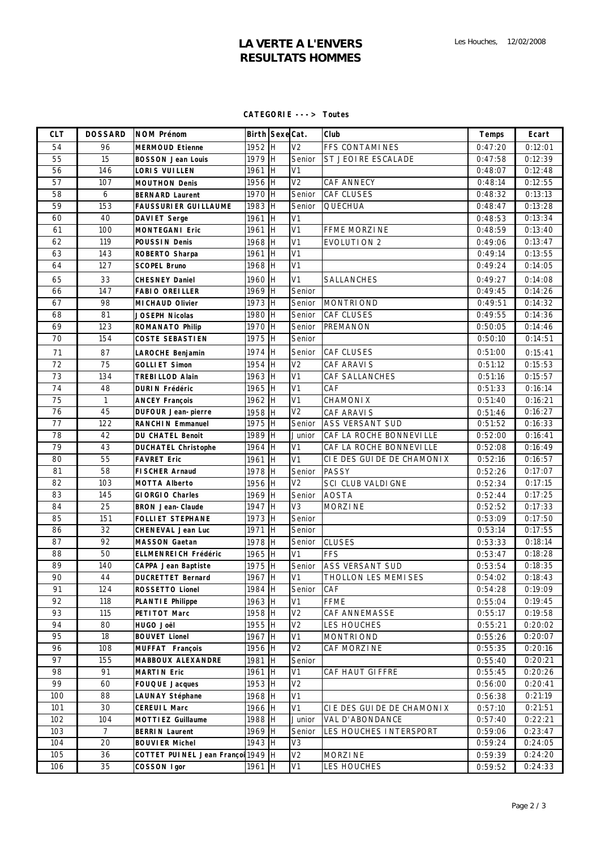# **LA VERTE A L'ENVERS RESULTATS HOMMES**

#### **CATEGORIE ---> Toutes**

| <b>CLT</b>      | <b>DOSSARD</b> | <b>NOM Prénom</b>                 | Birth Sexe Cat. |                | Club                       | <b>Temps</b> | Ecart   |
|-----------------|----------------|-----------------------------------|-----------------|----------------|----------------------------|--------------|---------|
| 54              | 96             | <b>MERMOUD Etienne</b>            | 1952 H          | $\overline{V}$ | FFS CONTAMINES             | 0:47:20      | 0:12:01 |
| 55              | 15             | <b>BOSSON Jean Louis</b>          | $1979$ H        | Senior         | ST JEOIRE ESCALADE         | 0:47:58      | 0:12:39 |
| 56              | 146            | LORIS VUILLEN                     | 1961 H          | V1             |                            | 0:48:07      | 0:12:48 |
| 57              | 107            | <b>MOUTHON Denis</b>              | 1956 H          | V <sub>2</sub> | CAF ANNECY                 | 0:48:14      | 0:12:55 |
| 58              | 6              | <b>BERNARD Laurent</b>            | 1970 H          | Senior         | CAF CLUSES                 | 0:48:32      | 0:13:13 |
| 59              | 153            | <b>FAUSSURIER GUILLAUME</b>       | 1983 H          | Senior         | QUECHUA                    | 0:48:47      | 0:13:28 |
| 60              | 40             | <b>DAVIET Serge</b>               | 1961 H          | V <sub>1</sub> |                            | 0:48:53      | 0:13:34 |
| 61              | 100            | <b>MONTEGANI Eric</b>             | 1961 H          | V <sub>1</sub> | FFME MORZINE               | 0:48:59      | 0:13:40 |
| 62              | 119            | <b>POUSSIN Denis</b>              | 1968 H          | V <sub>1</sub> | EVOLUTION 2                | 0:49:06      | 0:13:47 |
| 63              | 143            | ROBERTO Sharpa                    | 1961 H          | V <sub>1</sub> |                            | 0:49:14      | 0:13:55 |
| 64              | 127            | <b>SCOPEL Bruno</b>               | 1968 H          | V <sub>1</sub> |                            | 0:49:24      | 0:14:05 |
| 65              | 33             | <b>CHESNEY Daniel</b>             | 1960 H          | V <sub>1</sub> | SALLANCHES                 | 0:49:27      | 0:14:08 |
| 66              | 147            | <b>FABIO OREILLER</b>             | 1969 H          | Senior         |                            | 0:49:45      | 0:14:26 |
| 67              | 98             | <b>MICHAUD Olivier</b>            | 1973 H          | Senior         | <b>MONTRIOND</b>           | 0:49:51      | 0:14:32 |
| 68              | 81             | <b>JOSEPH Nicolas</b>             | 1980 H          | Senior         | <b>CAF CLUSES</b>          | 0:49:55      | 0:14:36 |
| 69              | 123            | <b>ROMANATO Philip</b>            | 1970 H          | Senior         | PREMANON                   | 0:50:05      | 0:14:46 |
| 70              | 154            | <b>COSTE SEBASTIEN</b>            | 1975 H          | Senior         |                            | 0:50:10      | 0:14:51 |
| 71              | 87             | LAROCHE Benjamin                  | 1974 H          | Senior         | <b>CAF CLUSES</b>          | 0:51:00      | 0:15:41 |
| 72              | 75             | <b>GOLLIET Simon</b>              | 1954 H          | $\overline{V}$ | CAF ARAVI S                | 0:51:12      | 0:15:53 |
| 73              | 134            | <b>TREBILLOD Alain</b>            | 1963 H          | V <sub>1</sub> | <b>CAF SALLANCHES</b>      | 0:51:16      | 0:15:57 |
| 74              | 48             | <b>DURIN Frédéric</b>             | 1965 H          | V <sub>1</sub> | CAF                        | 0:51:33      | 0:16:14 |
| $\overline{75}$ | $\mathbf{1}$   | <b>ANCEY François</b>             | 1962 H          | V <sub>1</sub> | <b>CHAMONIX</b>            | 0:51:40      | 0:16:21 |
| 76              | 45             | <b>DUFOUR Jean-pierre</b>         | 1958 H          | $\overline{V}$ | CAF ARAVIS                 | 0:51:46      | 0:16:27 |
| 77              | 122            | <b>RANCHIN Emmanuel</b>           | 1975 H          | Senior         | <b>ASS VERSANT SUD</b>     | 0:51:52      | 0:16:33 |
| 78              | 42             | <b>DU CHATEL Benoit</b>           | 1989 H          | Junior         | CAF LA ROCHE BONNEVILLE    | 0:52:00      | 0:16:41 |
| 79              | 43             | <b>DUCHATEL Christophe</b>        | 1964 H          | V <sub>1</sub> | CAF LA ROCHE BONNEVI LLE   | 0:52:08      | 0:16:49 |
| 80              | 55             | <b>FAVRET Eric</b>                | 1961 H          | V <sub>1</sub> | CIE DES GUI DE DE CHAMONIX | 0:52:16      | 0:16:57 |
| 81              | 58             | <b>FISCHER Arnaud</b>             | 1978 H          | Senior         | <b>PASSY</b>               | 0:52:26      | 0:17:07 |
| 82              | 103            | <b>MOTTA Alberto</b>              | 1956 H          | V <sub>2</sub> | SCI CLUB VALDI GNE         | 0:52:34      | 0:17:15 |
| 83              | 145            | <b>GIORGIO Charles</b>            | 1969 H          | Senior         | <b>AOSTA</b>               | 0:52:44      | 0:17:25 |
| 84              | 25             | <b>BRON Jean-Claude</b>           | 1947 H          | V <sub>3</sub> | <b>MORZINE</b>             | 0:52:52      | 0:17:33 |
| 85              | 151            | <b>FOLLIET STEPHANE</b>           | 1973 H          | Senior         |                            | 0:53:09      | 0:17:50 |
| 86              | 32             | <b>CHENEVAL Jean Luc</b>          | 1971 H          | Senior         |                            | 0:53:14      | 0:17:55 |
| 87              | 92             | <b>MASSON Gaetan</b>              | 1978 H          | Senior         | <b>CLUSES</b>              | 0:53:33      | 0:18:14 |
| 88              | 50             | <b>ELLMENREICH Frédéric</b>       | 1965 H          | V <sub>1</sub> | <b>FFS</b>                 | 0:53:47      | 0:18:28 |
| 89              | 140            | <b>CAPPA Jean Baptiste</b>        | 1975 H          | Senior         | <b>ASS VERSANT SUD</b>     | 0:53:54      | 0:18:35 |
| 90              | 44             | <b>DUCRETTET Bernard</b>          | 1967 H          | V <sub>1</sub> | THOLLON LES MEMI SES       | 0:54:02      | 0:18:43 |
| 91              | 124            | <b>ROSSETTO Lionel</b>            | 1984 H          | Senior         | CAF                        | 0:54:28      | 0:19:09 |
| 92              | 118            | <b>PLANTIE Philippe</b>           | 1963 H          | V <sub>1</sub> | <b>FFME</b>                | 0:55:04      | 0:19:45 |
| 93              | 115            | PETI TOT Marc                     | 1958 H          | V <sub>2</sub> | CAF ANNEMASSE              | 0:55:17      | 0:19:58 |
| 94              | 80             | HUGO Joël                         | 1955 H          | V <sub>2</sub> | LES HOUCHES                | 0:55:21      | 0:20:02 |
| 95              | 18             | <b>BOUVET Lionel</b>              | 1967 H          | V1             | <b>MONTRIOND</b>           | 0:55:26      | 0:20:07 |
| 96              | 108            | <b>MUFFAT François</b>            | 1956 H          | V <sub>2</sub> | CAF MORZINE                | 0:55:35      | 0:20:16 |
| 97              | 155            | <b>MABBOUX ALEXANDRE</b>          | 1981 H          | Senior         |                            | 0:55:40      | 0:20:21 |
| 98              | 91             | <b>MARTIN Eric</b>                | 1961 H          | V <sub>1</sub> | CAF HAUT GIFFRE            | 0:55:45      | 0:20:26 |
| 99              | 60             | <b>FOUQUE Jacques</b>             | 1953 H          | V <sub>2</sub> |                            | 0:56:00      | 0:20:41 |
| 100             | 88             | <b>LAUNAY Stéphane</b>            | 1968 <b>I</b> H | V <sub>1</sub> |                            | 0:56:38      | 0:21:19 |
| 101             | 30             | <b>CEREUIL Marc</b>               | 1966 H          | V <sub>1</sub> | CIE DES GUI DE DE CHAMONIX | 0:57:10      | 0:21:51 |
| 102             | 104            | <b>MOTTIEZ Guillaume</b>          | 1988 H          | Junior         | VAL D'ABONDANCE            | 0:57:40      | 0:22:21 |
| 103             | $\overline{7}$ | <b>BERRIN Laurent</b>             | 1969 H          | Senior         | LES HOUCHES INTERSPORT     | 0:59:06      | 0:23:47 |
| 104             | 20             | <b>BOUVIER Michel</b>             | 1943 H          | V3             |                            | 0:59:24      | 0:24:05 |
| 105             | 36             | COTTET PUINEL Jean Françoi 1949 H |                 | V <sub>2</sub> | MORZINE                    | 0:59:39      | 0:24:20 |
| 106             | 35             | <b>COSSON Igor</b>                | 1961 H          | V1             | LES HOUCHES                | 0:59:52      | 0:24:33 |